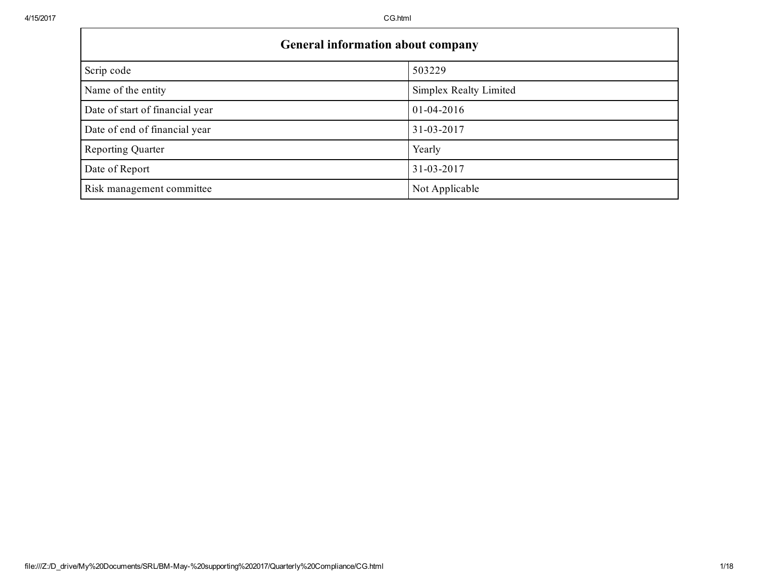г

| <b>General information about company</b> |                        |  |  |  |
|------------------------------------------|------------------------|--|--|--|
| Scrip code                               | 503229                 |  |  |  |
| Name of the entity                       | Simplex Realty Limited |  |  |  |
| Date of start of financial year          | $01-04-2016$           |  |  |  |
| Date of end of financial year            | 31-03-2017             |  |  |  |
| <b>Reporting Quarter</b>                 | Yearly                 |  |  |  |
| Date of Report                           | 31-03-2017             |  |  |  |
| Risk management committee                | Not Applicable         |  |  |  |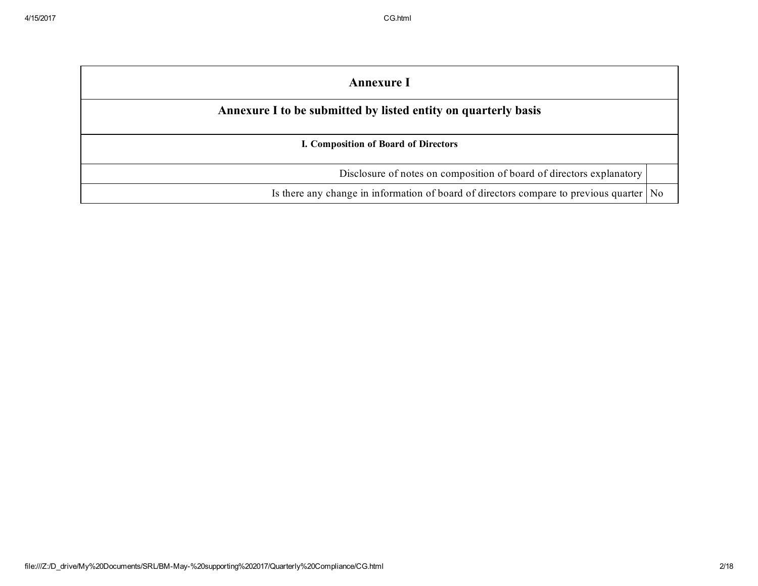| <b>Annexure I</b>                                                                         |  |
|-------------------------------------------------------------------------------------------|--|
| Annexure I to be submitted by listed entity on quarterly basis                            |  |
| I. Composition of Board of Directors                                                      |  |
| Disclosure of notes on composition of board of directors explanatory                      |  |
| Is there any change in information of board of directors compare to previous quarter   No |  |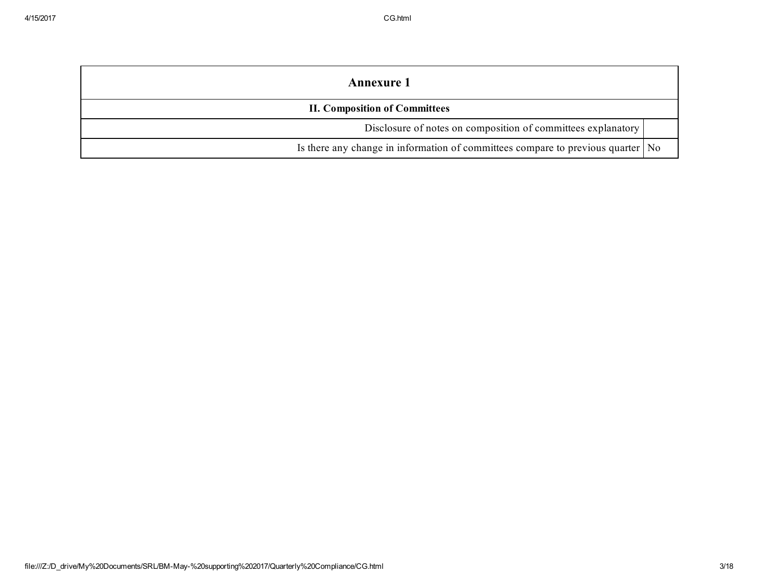| <b>Annexure</b> 1                                                                 |  |  |  |
|-----------------------------------------------------------------------------------|--|--|--|
| <b>II. Composition of Committees</b>                                              |  |  |  |
| Disclosure of notes on composition of committees explanatory                      |  |  |  |
| Is there any change in information of committees compare to previous quarter   No |  |  |  |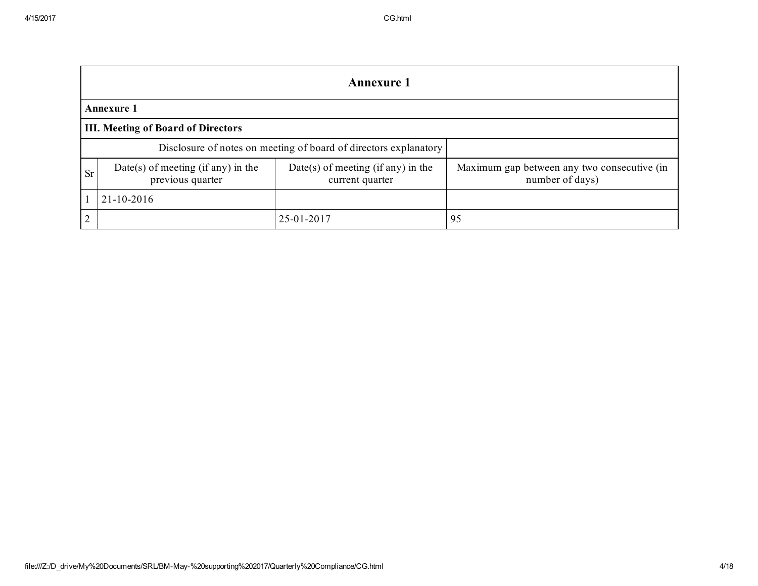|                                                                                        | <b>Annexure 1</b>                         |                                                                  |                                                                |  |  |  |  |
|----------------------------------------------------------------------------------------|-------------------------------------------|------------------------------------------------------------------|----------------------------------------------------------------|--|--|--|--|
|                                                                                        | <b>Annexure 1</b>                         |                                                                  |                                                                |  |  |  |  |
|                                                                                        | <b>III. Meeting of Board of Directors</b> |                                                                  |                                                                |  |  |  |  |
|                                                                                        |                                           | Disclosure of notes on meeting of board of directors explanatory |                                                                |  |  |  |  |
| Date(s) of meeting (if any) in the<br><b>Sr</b><br>previous quarter<br>current quarter |                                           | Date(s) of meeting (if any) in the                               | Maximum gap between any two consecutive (in<br>number of days) |  |  |  |  |
| 21-10-2016                                                                             |                                           |                                                                  |                                                                |  |  |  |  |
| ↑                                                                                      |                                           | 25-01-2017                                                       | 95                                                             |  |  |  |  |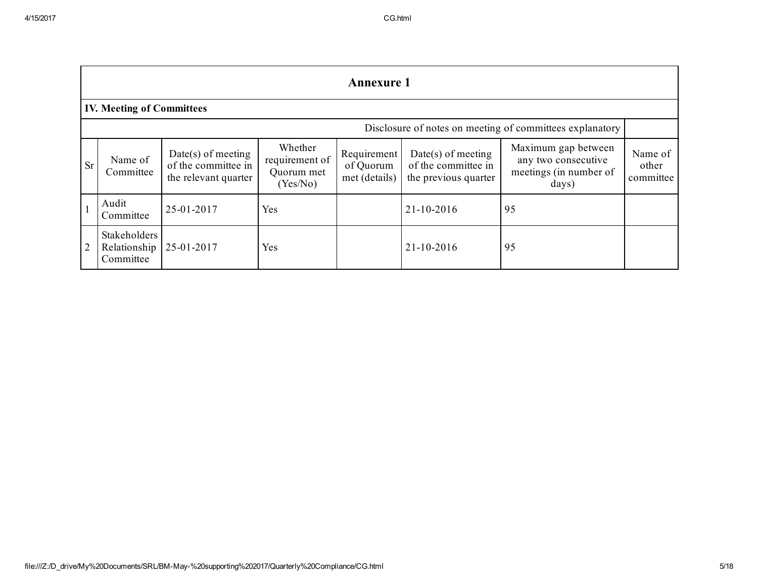|                | <b>Annexure 1</b>                         |                                                                     |                                                     |                                           |                                                                     |                                                                               |                               |
|----------------|-------------------------------------------|---------------------------------------------------------------------|-----------------------------------------------------|-------------------------------------------|---------------------------------------------------------------------|-------------------------------------------------------------------------------|-------------------------------|
|                | <b>IV. Meeting of Committees</b>          |                                                                     |                                                     |                                           |                                                                     |                                                                               |                               |
|                |                                           |                                                                     |                                                     |                                           |                                                                     | Disclosure of notes on meeting of committees explanatory                      |                               |
| <b>Sr</b>      | Name of<br>Committee                      | $Date(s)$ of meeting<br>of the committee in<br>the relevant quarter | Whether<br>requirement of<br>Quorum met<br>(Yes/No) | Requirement<br>of Quorum<br>met (details) | $Date(s)$ of meeting<br>of the committee in<br>the previous quarter | Maximum gap between<br>any two consecutive<br>meetings (in number of<br>days) | Name of<br>other<br>committee |
|                | Audit<br>Committee                        | 25-01-2017                                                          | Yes                                                 |                                           | 21-10-2016                                                          | 95                                                                            |                               |
| $\overline{2}$ | Stakeholders<br>Relationship<br>Committee | 25-01-2017                                                          | Yes                                                 |                                           | 21-10-2016                                                          | 95                                                                            |                               |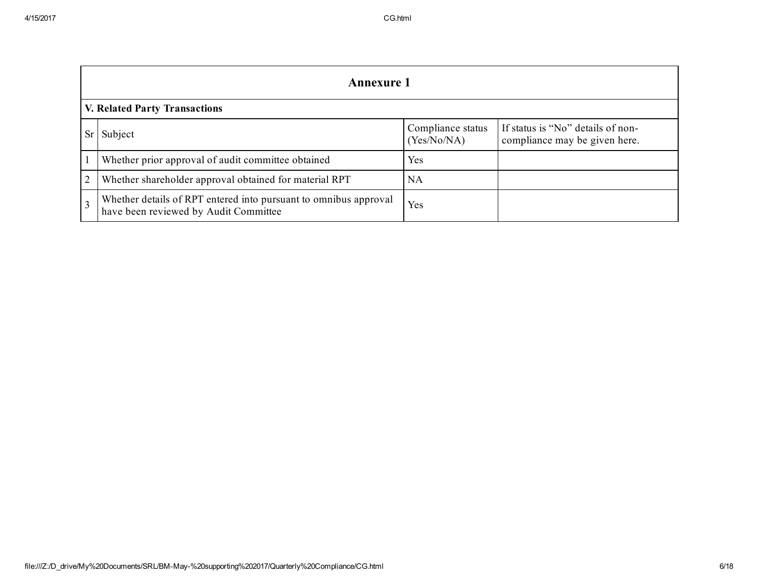|           | <b>Annexure 1</b>                                                                                         |                                  |                                                                    |  |  |
|-----------|-----------------------------------------------------------------------------------------------------------|----------------------------------|--------------------------------------------------------------------|--|--|
|           | <b>V. Related Party Transactions</b>                                                                      |                                  |                                                                    |  |  |
| <b>Sr</b> | Subject                                                                                                   | Compliance status<br>(Yes/No/NA) | If status is "No" details of non-<br>compliance may be given here. |  |  |
|           | Whether prior approval of audit committee obtained                                                        | Yes                              |                                                                    |  |  |
| 2         | Whether shareholder approval obtained for material RPT                                                    | NA                               |                                                                    |  |  |
| 3         | Whether details of RPT entered into pursuant to omnibus approval<br>have been reviewed by Audit Committee | Yes                              |                                                                    |  |  |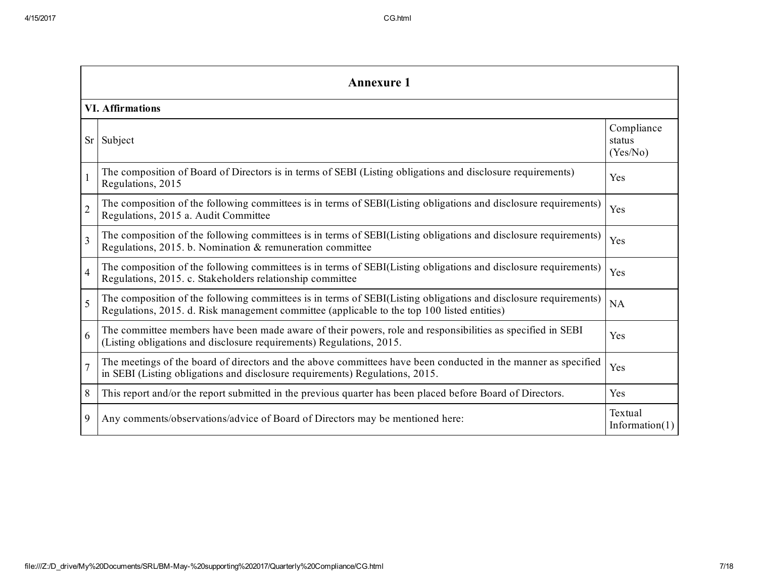|                | <b>Annexure 1</b>                                                                                                                                                                                               |                                  |  |  |  |
|----------------|-----------------------------------------------------------------------------------------------------------------------------------------------------------------------------------------------------------------|----------------------------------|--|--|--|
|                | <b>VI. Affirmations</b>                                                                                                                                                                                         |                                  |  |  |  |
| <b>Sr</b>      | Subject                                                                                                                                                                                                         | Compliance<br>status<br>(Yes/No) |  |  |  |
| $\mathbf{1}$   | The composition of Board of Directors is in terms of SEBI (Listing obligations and disclosure requirements)<br>Regulations, 2015                                                                                | Yes                              |  |  |  |
| $\overline{2}$ | The composition of the following committees is in terms of SEBI(Listing obligations and disclosure requirements)<br>Regulations, 2015 a. Audit Committee                                                        | Yes                              |  |  |  |
| $\overline{3}$ | The composition of the following committees is in terms of SEBI(Listing obligations and disclosure requirements)<br>Regulations, 2015. b. Nomination & remuneration committee                                   | Yes                              |  |  |  |
| $\overline{4}$ | The composition of the following committees is in terms of SEBI(Listing obligations and disclosure requirements)<br>Regulations, 2015. c. Stakeholders relationship committee                                   | Yes                              |  |  |  |
| $\overline{5}$ | The composition of the following committees is in terms of SEBI(Listing obligations and disclosure requirements)<br>Regulations, 2015. d. Risk management committee (applicable to the top 100 listed entities) | NA                               |  |  |  |
| 6              | The committee members have been made aware of their powers, role and responsibilities as specified in SEBI<br>(Listing obligations and disclosure requirements) Regulations, 2015.                              | Yes                              |  |  |  |
| $\overline{7}$ | The meetings of the board of directors and the above committees have been conducted in the manner as specified<br>in SEBI (Listing obligations and disclosure requirements) Regulations, 2015.                  | Yes                              |  |  |  |
| 8              | This report and/or the report submitted in the previous quarter has been placed before Board of Directors.                                                                                                      | Yes                              |  |  |  |
| 9              | Any comments/observations/advice of Board of Directors may be mentioned here:                                                                                                                                   | Textual<br>Information $(1)$     |  |  |  |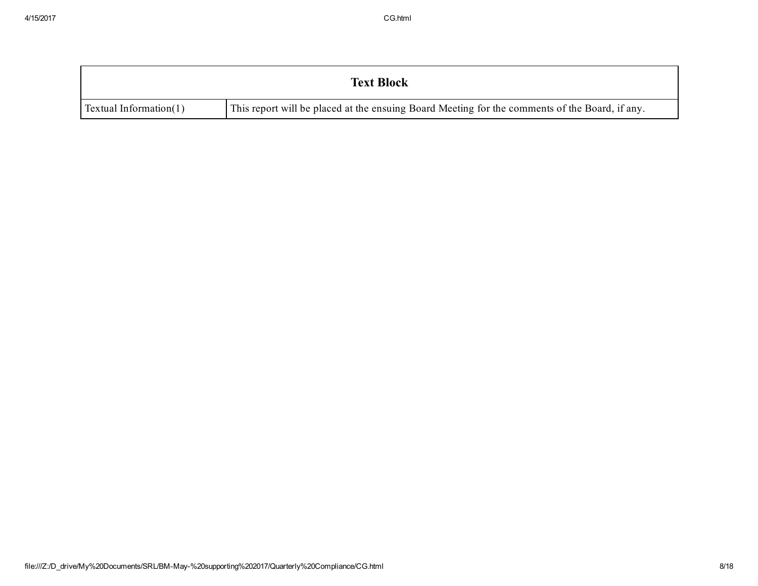|                           | <b>Text Block</b>                                                                              |
|---------------------------|------------------------------------------------------------------------------------------------|
| Textual Information $(1)$ | This report will be placed at the ensuing Board Meeting for the comments of the Board, if any. |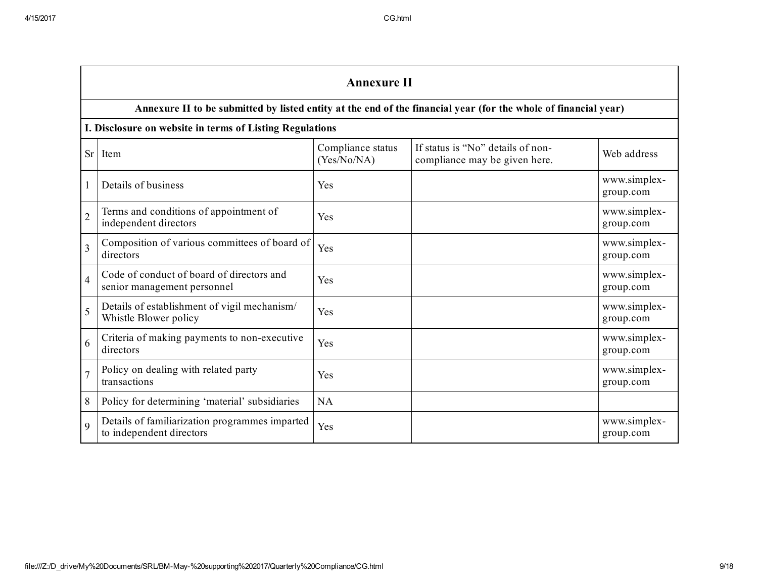|                | <b>Annexure II</b>                                                         |                                  |                                                                                                                 |                           |  |
|----------------|----------------------------------------------------------------------------|----------------------------------|-----------------------------------------------------------------------------------------------------------------|---------------------------|--|
|                |                                                                            |                                  | Annexure II to be submitted by listed entity at the end of the financial year (for the whole of financial year) |                           |  |
|                | I. Disclosure on website in terms of Listing Regulations                   |                                  |                                                                                                                 |                           |  |
| Sr             | Item                                                                       | Compliance status<br>(Yes/No/NA) | If status is "No" details of non-<br>compliance may be given here.                                              | Web address               |  |
|                | Details of business                                                        | Yes                              |                                                                                                                 | www.simplex-<br>group.com |  |
| $\overline{2}$ | Terms and conditions of appointment of<br>independent directors            | Yes                              |                                                                                                                 | www.simplex-<br>group.com |  |
| $\overline{3}$ | Composition of various committees of board of<br>directors                 | Yes                              |                                                                                                                 | www.simplex-<br>group.com |  |
| $\overline{4}$ | Code of conduct of board of directors and<br>senior management personnel   | Yes                              |                                                                                                                 | www.simplex-<br>group.com |  |
| 5              | Details of establishment of vigil mechanism/<br>Whistle Blower policy      | Yes                              |                                                                                                                 | www.simplex-<br>group.com |  |
| 6              | Criteria of making payments to non-executive<br>directors                  | Yes                              |                                                                                                                 | www.simplex-<br>group.com |  |
| $\overline{7}$ | Policy on dealing with related party<br>transactions                       | Yes                              |                                                                                                                 | www.simplex-<br>group.com |  |
| 8              | Policy for determining 'material' subsidiaries                             | <b>NA</b>                        |                                                                                                                 |                           |  |
| $\mathbf Q$    | Details of familiarization programmes imparted<br>to independent directors | Yes                              |                                                                                                                 | www.simplex-<br>group.com |  |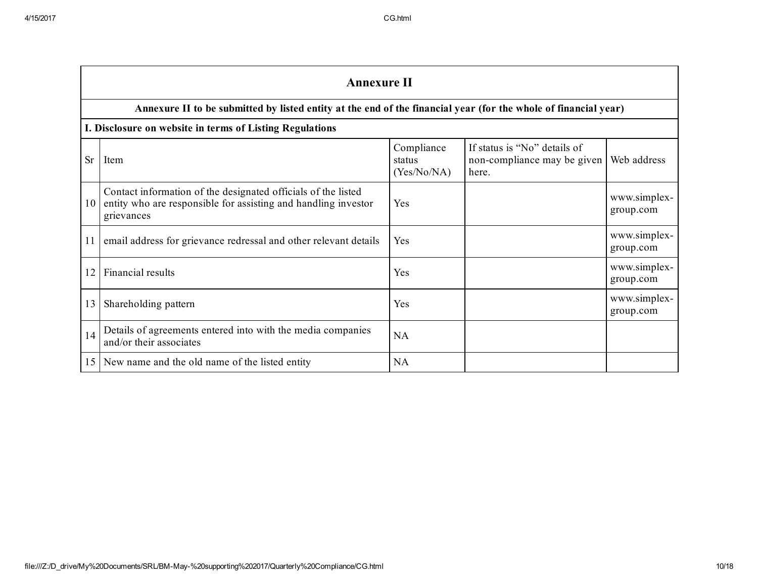|           | <b>Annexure II</b>                                                                                                                            |                                     |                                                                      |                           |  |  |  |
|-----------|-----------------------------------------------------------------------------------------------------------------------------------------------|-------------------------------------|----------------------------------------------------------------------|---------------------------|--|--|--|
|           | Annexure II to be submitted by listed entity at the end of the financial year (for the whole of financial year)                               |                                     |                                                                      |                           |  |  |  |
|           | I. Disclosure on website in terms of Listing Regulations                                                                                      |                                     |                                                                      |                           |  |  |  |
| <b>Sr</b> | Item                                                                                                                                          | Compliance<br>status<br>(Yes/No/NA) | If status is "No" details of<br>non-compliance may be given<br>here. | Web address               |  |  |  |
| 10        | Contact information of the designated officials of the listed<br>entity who are responsible for assisting and handling investor<br>grievances | Yes                                 |                                                                      | www.simplex-<br>group.com |  |  |  |
| 11        | email address for grievance redressal and other relevant details                                                                              | Yes                                 |                                                                      | www.simplex-<br>group.com |  |  |  |
| 12        | Financial results                                                                                                                             | Yes                                 |                                                                      | www.simplex-<br>group.com |  |  |  |
| 13        | Shareholding pattern                                                                                                                          | Yes                                 |                                                                      | www.simplex-<br>group.com |  |  |  |
| 14        | Details of agreements entered into with the media companies<br>and/or their associates                                                        | <b>NA</b>                           |                                                                      |                           |  |  |  |
| 15        | New name and the old name of the listed entity                                                                                                | <b>NA</b>                           |                                                                      |                           |  |  |  |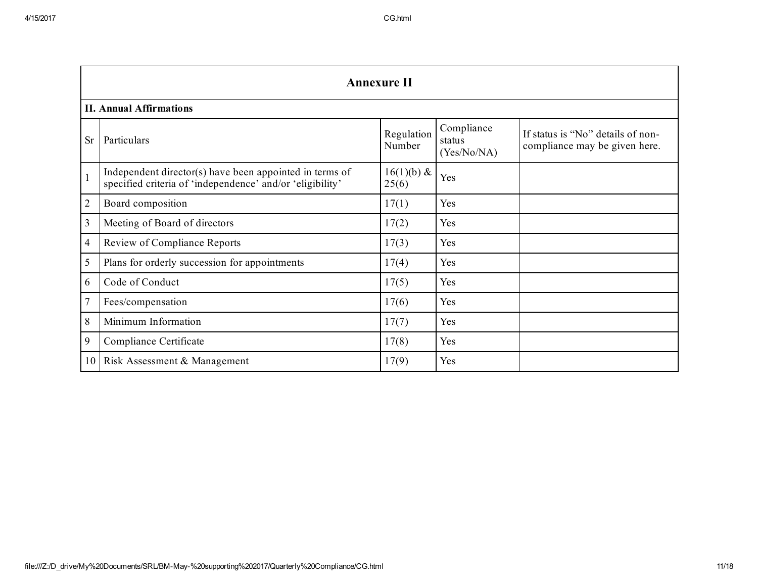|                | <b>Annexure II</b>                                                                                                   |                        |                                     |                                                                    |  |  |
|----------------|----------------------------------------------------------------------------------------------------------------------|------------------------|-------------------------------------|--------------------------------------------------------------------|--|--|
|                | <b>II. Annual Affirmations</b>                                                                                       |                        |                                     |                                                                    |  |  |
| <b>Sr</b>      | Particulars                                                                                                          | Regulation<br>Number   | Compliance<br>status<br>(Yes/No/NA) | If status is "No" details of non-<br>compliance may be given here. |  |  |
| $\mathbf{1}$   | Independent director(s) have been appointed in terms of<br>specified criteria of 'independence' and/or 'eligibility' | $16(1)(b) \&$<br>25(6) | Yes                                 |                                                                    |  |  |
| $\overline{2}$ | Board composition                                                                                                    | 17(1)                  | Yes                                 |                                                                    |  |  |
| 3              | Meeting of Board of directors                                                                                        | 17(2)                  | Yes                                 |                                                                    |  |  |
| 4              | Review of Compliance Reports                                                                                         | 17(3)                  | Yes                                 |                                                                    |  |  |
| 5              | Plans for orderly succession for appointments                                                                        | 17(4)                  | Yes                                 |                                                                    |  |  |
| 6              | Code of Conduct                                                                                                      | 17(5)                  | Yes                                 |                                                                    |  |  |
| $\overline{7}$ | Fees/compensation                                                                                                    | 17(6)                  | Yes                                 |                                                                    |  |  |
| 8              | Minimum Information                                                                                                  | 17(7)                  | Yes                                 |                                                                    |  |  |
| 9              | Compliance Certificate                                                                                               | 17(8)                  | Yes                                 |                                                                    |  |  |
| 10             | Risk Assessment & Management                                                                                         | 17(9)                  | Yes                                 |                                                                    |  |  |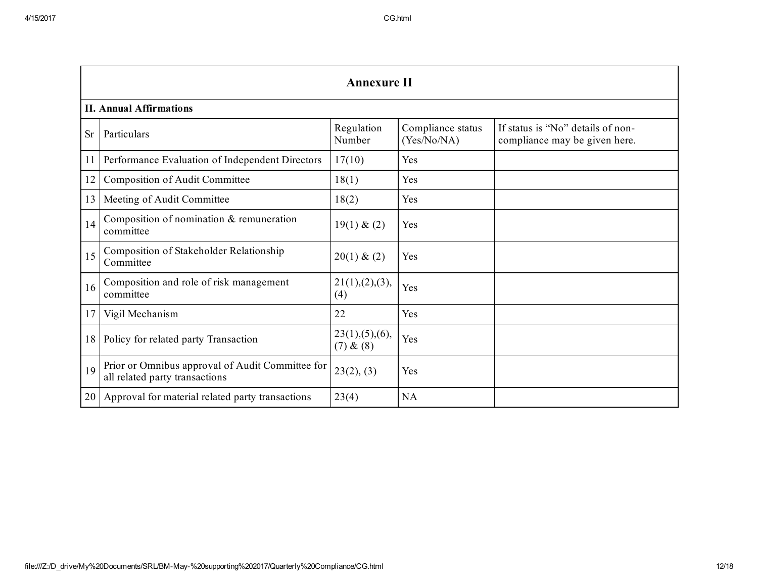|           | <b>Annexure II</b>                                                                 |                               |                                  |                                                                    |  |  |  |
|-----------|------------------------------------------------------------------------------------|-------------------------------|----------------------------------|--------------------------------------------------------------------|--|--|--|
|           | <b>II. Annual Affirmations</b>                                                     |                               |                                  |                                                                    |  |  |  |
| <b>Sr</b> | Particulars                                                                        | Regulation<br>Number          | Compliance status<br>(Yes/No/NA) | If status is "No" details of non-<br>compliance may be given here. |  |  |  |
| 11        | Performance Evaluation of Independent Directors                                    | 17(10)                        | Yes                              |                                                                    |  |  |  |
| 12        | Composition of Audit Committee                                                     | 18(1)                         | Yes                              |                                                                    |  |  |  |
| 13        | Meeting of Audit Committee                                                         | 18(2)                         | Yes                              |                                                                    |  |  |  |
| 14        | Composition of nomination & remuneration<br>committee                              | 19(1) & (2)                   | Yes                              |                                                                    |  |  |  |
| 15        | Composition of Stakeholder Relationship<br>Committee                               | 20(1) & (2)                   | Yes                              |                                                                    |  |  |  |
| 16        | Composition and role of risk management<br>committee                               | 21(1),(2),(3),<br>(4)         | Yes                              |                                                                    |  |  |  |
| 17        | Vigil Mechanism                                                                    | 22                            | Yes                              |                                                                    |  |  |  |
| 18        | Policy for related party Transaction                                               | 23(1), (5), (6),<br>(7) & (8) | Yes                              |                                                                    |  |  |  |
| 19        | Prior or Omnibus approval of Audit Committee for<br>all related party transactions | 23(2), (3)                    | Yes                              |                                                                    |  |  |  |
| 20        | Approval for material related party transactions                                   | 23(4)                         | <b>NA</b>                        |                                                                    |  |  |  |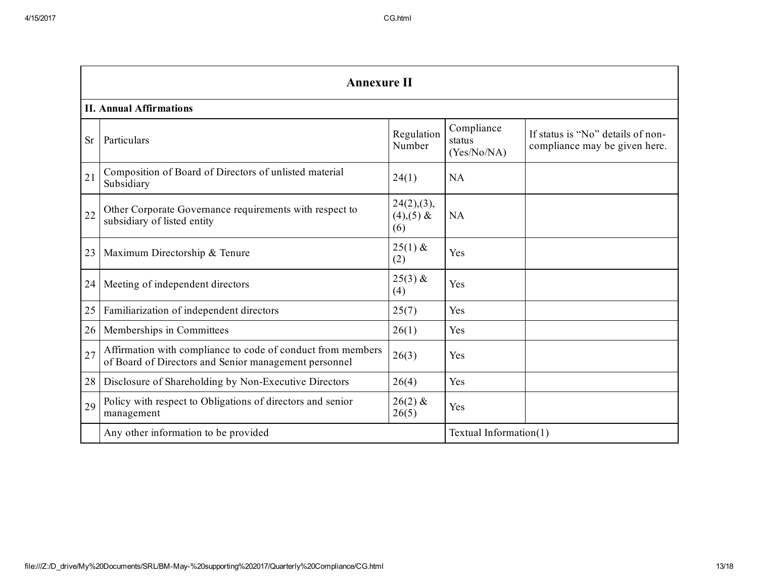|           | <b>Annexure II</b><br><b>II. Annual Affirmations</b>                                                                 |                                  |                                     |                                                                    |  |  |
|-----------|----------------------------------------------------------------------------------------------------------------------|----------------------------------|-------------------------------------|--------------------------------------------------------------------|--|--|
|           |                                                                                                                      |                                  |                                     |                                                                    |  |  |
| <b>Sr</b> | Particulars                                                                                                          | Regulation<br>Number             | Compliance<br>status<br>(Yes/No/NA) | If status is "No" details of non-<br>compliance may be given here. |  |  |
| 21        | Composition of Board of Directors of unlisted material<br>Subsidiary                                                 | 24(1)                            | <b>NA</b>                           |                                                                    |  |  |
| 22        | Other Corporate Governance requirements with respect to<br>subsidiary of listed entity                               | 24(2),(3),<br>$(4),(5)$ &<br>(6) | <b>NA</b>                           |                                                                    |  |  |
| 23        | Maximum Directorship & Tenure                                                                                        | $25(1)$ &<br>(2)                 | Yes                                 |                                                                    |  |  |
| 24        | Meeting of independent directors                                                                                     | $25(3)$ &<br>(4)                 | Yes                                 |                                                                    |  |  |
| 25        | Familiarization of independent directors                                                                             | 25(7)                            | Yes                                 |                                                                    |  |  |
| 26        | Memberships in Committees                                                                                            | 26(1)                            | Yes                                 |                                                                    |  |  |
| 27        | Affirmation with compliance to code of conduct from members<br>of Board of Directors and Senior management personnel | 26(3)                            | Yes                                 |                                                                    |  |  |
| 28        | Disclosure of Shareholding by Non-Executive Directors                                                                | 26(4)                            | Yes                                 |                                                                    |  |  |
| 29        | Policy with respect to Obligations of directors and senior<br>management                                             | $26(2)$ &<br>26(5)               | Yes                                 |                                                                    |  |  |
|           | Any other information to be provided                                                                                 |                                  | Textual Information(1)              |                                                                    |  |  |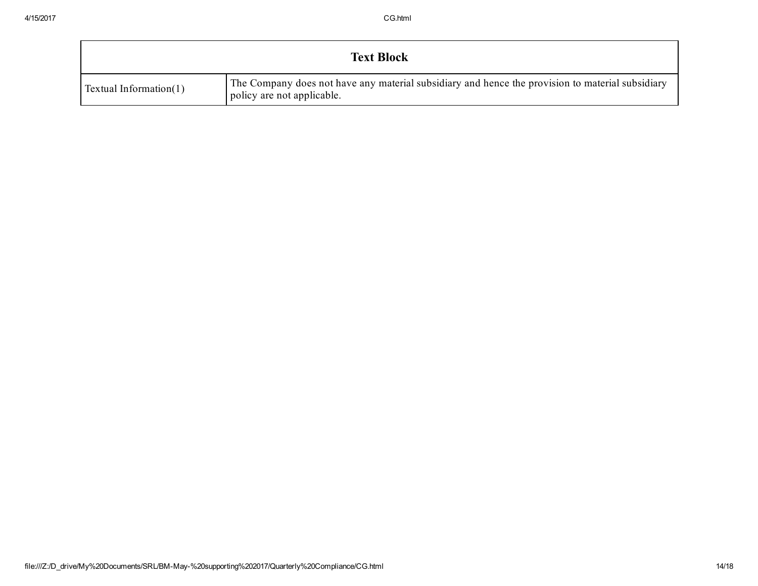| <b>Text Block</b>         |                                                                                                                                |  |  |  |  |
|---------------------------|--------------------------------------------------------------------------------------------------------------------------------|--|--|--|--|
| Textual Information $(1)$ | The Company does not have any material subsidiary and hence the provision to material subsidiary<br>policy are not applicable. |  |  |  |  |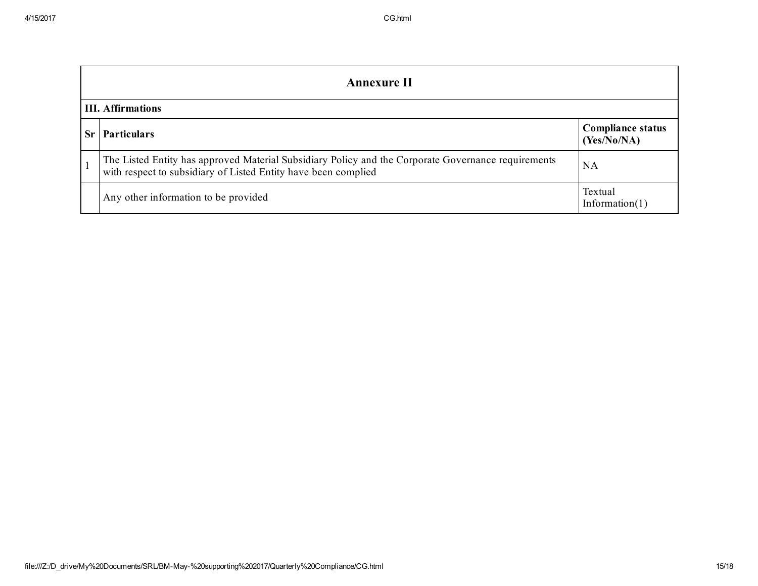|                          | Annexure II                                                                                                                                                           |                                         |  |  |  |
|--------------------------|-----------------------------------------------------------------------------------------------------------------------------------------------------------------------|-----------------------------------------|--|--|--|
| <b>III.</b> Affirmations |                                                                                                                                                                       |                                         |  |  |  |
| Sr                       | <b>Particulars</b>                                                                                                                                                    | <b>Compliance status</b><br>(Yes/No/NA) |  |  |  |
|                          | The Listed Entity has approved Material Subsidiary Policy and the Corporate Governance requirements<br>with respect to subsidiary of Listed Entity have been complied | <b>NA</b>                               |  |  |  |
|                          | Any other information to be provided                                                                                                                                  | Textual<br>Information $(1)$            |  |  |  |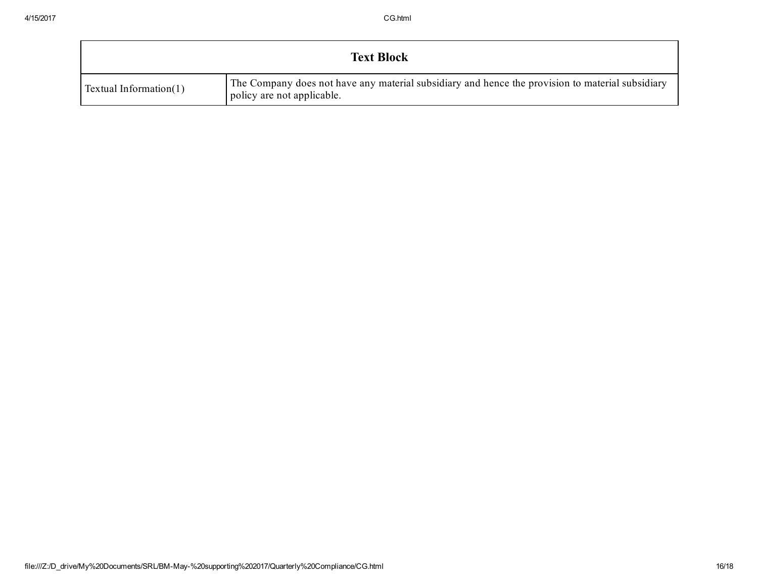| <b>Text Block</b>         |                                                                                                                                |  |  |  |  |
|---------------------------|--------------------------------------------------------------------------------------------------------------------------------|--|--|--|--|
| Textual Information $(1)$ | The Company does not have any material subsidiary and hence the provision to material subsidiary<br>policy are not applicable. |  |  |  |  |